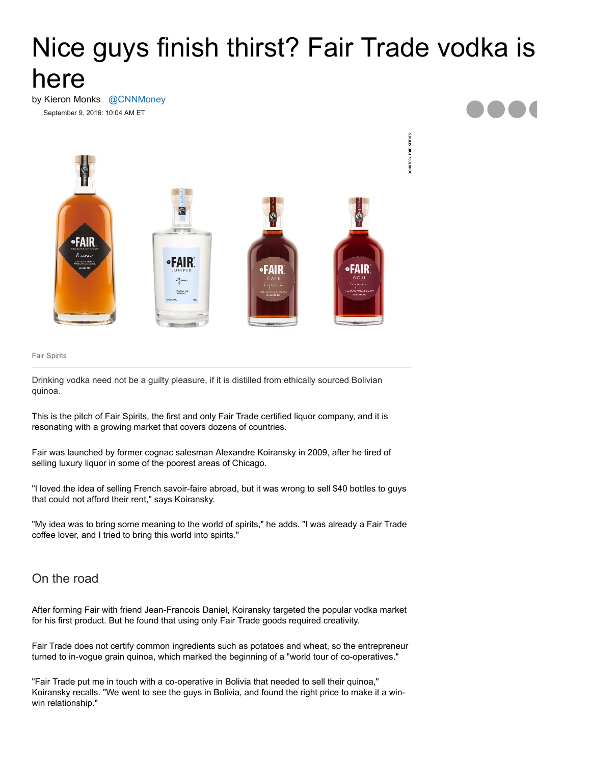## Nice guys finish thirst? Fair Trade vodka is here

by Kieron Monks [@CNNMoney](https://twitter.com/intent/user?screen_name=CNNMoney) September 9, 2016: 10:04 AM ET



Fair Spirits

Drinking vodka need not be a guilty pleasure, if it is distilled from ethically sourced Bolivian quinoa.

This is the pitch of Fair Spirits, the first and only Fair Trade certified liquor company, and it is resonating with a growing market that covers dozens of countries.

Fair was launched by former cognac salesman Alexandre Koiransky in 2009, after he tired of selling luxury liquor in some of the poorest areas of Chicago.

"I loved the idea of selling French savoir-faire abroad, but it was wrong to sell \$40 bottles to guys that could not afford their rent," says Koiransky.

"My idea was to bring some meaning to the world of spirits," he adds. "I was already a Fair Trade coffee lover, and I tried to bring this world into spirits."

## On the road

After forming Fair with friend Jean-Francois Daniel, Koiransky targeted the popular vodka market for his first product. But he found that using only Fair Trade goods required creativity.

Fair Trade does not certify common ingredients such as potatoes and wheat, so the entrepreneur turned to in-vogue grain quinoa, which marked the beginning of a "world tour of co-operatives."

"Fair Trade put me in touch with a co-operative in Bolivia that needed to sell their quinoa," Koiransky recalls. "We went to see the guys in Bolivia, and found the right price to make it a winwin relationship."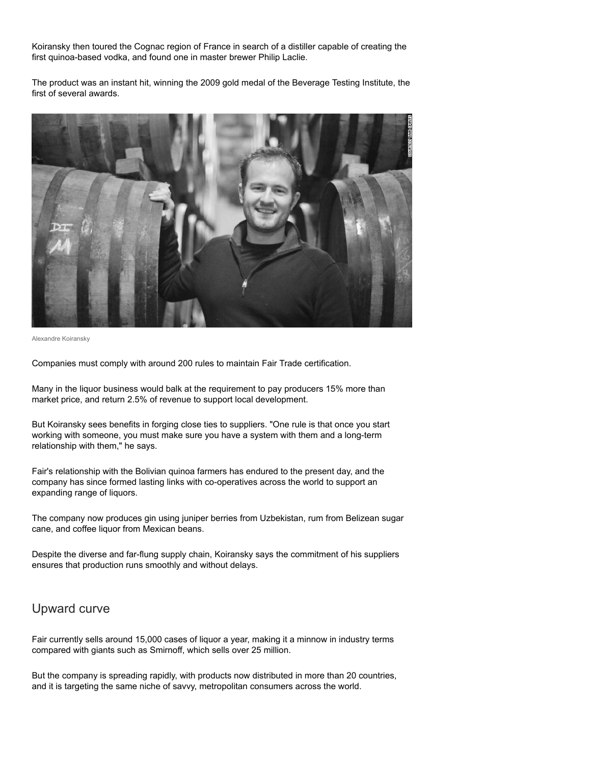Koiransky then toured the Cognac region of France in search of a distiller capable of creating the first quinoa-based vodka, and found one in master brewer Philip Laclie.

The product was an instant hit, winning the 2009 gold medal of the Beverage Testing Institute, the first of several awards.



Alexandre Koiransky

Companies must comply with around 200 rules to maintain Fair Trade certification.

Many in the liquor business would balk at the requirement to pay producers 15% more than market price, and return 2.5% of revenue to support local development.

But Koiransky sees benefits in forging close ties to suppliers. "One rule is that once you start working with someone, you must make sure you have a system with them and a long-term relationship with them," he says.

Fair's relationship with the Bolivian quinoa farmers has endured to the present day, and the company has since formed lasting links with co-operatives across the world to support an expanding range of liquors.

The company now produces gin using juniper berries from Uzbekistan, rum from Belizean sugar cane, and coffee liquor from Mexican beans.

Despite the diverse and far-flung supply chain, Koiransky says the commitment of his suppliers ensures that production runs smoothly and without delays.

## Upward curve

Fair currently sells around 15,000 cases of liquor a year, making it a minnow in industry terms compared with giants such as Smirnoff, which sells over 25 million.

But the company is spreading rapidly, with products now distributed in more than 20 countries, and it is targeting the same niche of savvy, metropolitan consumers across the world.